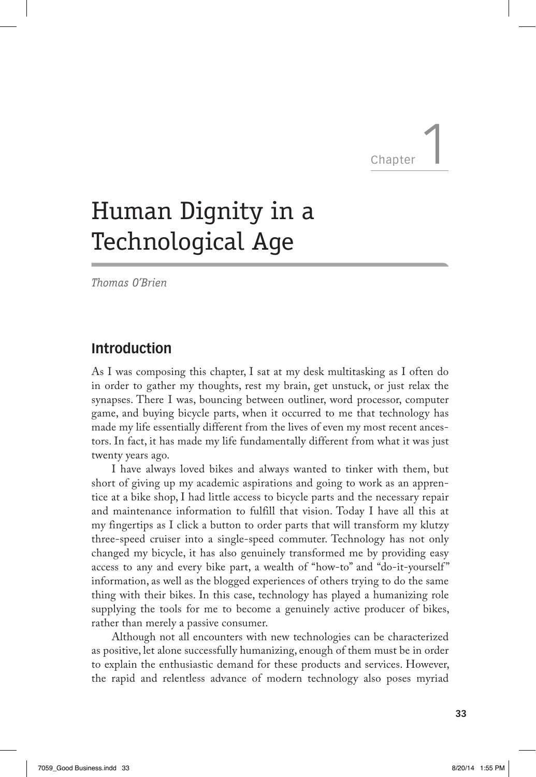# Chapter

## Human Dignity in a Technological Age

*Thomas O'Brien*

#### **Introduction**

As I was composing this chapter, I sat at my desk multitasking as I often do in order to gather my thoughts, rest my brain, get unstuck, or just relax the synapses. There I was, bouncing between outliner, word processor, computer game, and buying bicycle parts, when it occurred to me that technology has made my life essentially different from the lives of even my most recent ancestors. In fact, it has made my life fundamentally different from what it was just twenty years ago.

I have always loved bikes and always wanted to tinker with them, but short of giving up my academic aspirations and going to work as an apprentice at a bike shop, I had little access to bicycle parts and the necessary repair and maintenance information to fulfill that vision. Today I have all this at my fingertips as I click a button to order parts that will transform my klutzy three-speed cruiser into a single-speed commuter. Technology has not only changed my bicycle, it has also genuinely transformed me by providing easy access to any and every bike part, a wealth of "how-to" and "do-it-yourself " information, as well as the blogged experiences of others trying to do the same thing with their bikes. In this case, technology has played a humanizing role supplying the tools for me to become a genuinely active producer of bikes, rather than merely a passive consumer.

Although not all encounters with new technologies can be characterized as positive, let alone successfully humanizing, enough of them must be in order to explain the enthusiastic demand for these products and services. However, the rapid and relentless advance of modern technology also poses myriad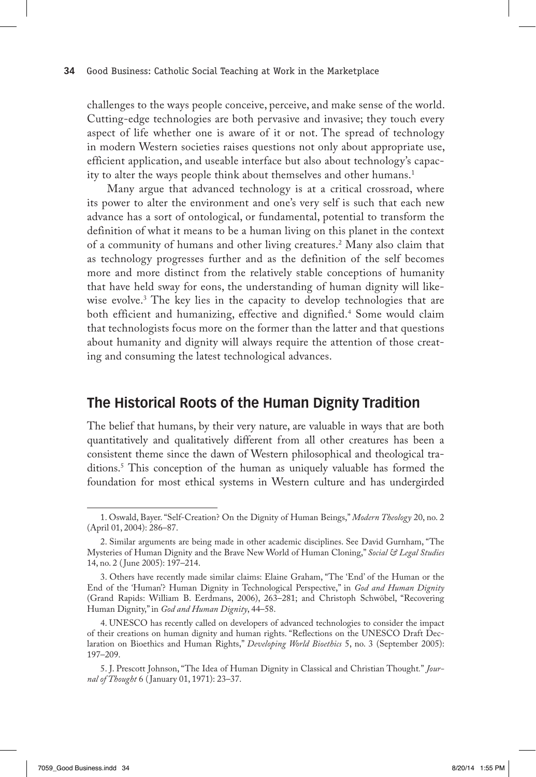challenges to the ways people conceive, perceive, and make sense of the world. Cutting-edge technologies are both pervasive and invasive; they touch every aspect of life whether one is aware of it or not. The spread of technology in modern Western societies raises questions not only about appropriate use, efficient application, and useable interface but also about technology's capacity to alter the ways people think about themselves and other humans.<sup>1</sup>

Many argue that advanced technology is at a critical crossroad, where its power to alter the environment and one's very self is such that each new advance has a sort of ontological, or fundamental, potential to transform the definition of what it means to be a human living on this planet in the context of a community of humans and other living creatures.2 Many also claim that as technology progresses further and as the definition of the self becomes more and more distinct from the relatively stable conceptions of humanity that have held sway for eons, the understanding of human dignity will likewise evolve.3 The key lies in the capacity to develop technologies that are both efficient and humanizing, effective and dignified.4 Some would claim that technologists focus more on the former than the latter and that questions about humanity and dignity will always require the attention of those creating and consuming the latest technological advances.

#### **The Historical Roots of the Human Dignity Tradition**

The belief that humans, by their very nature, are valuable in ways that are both quantitatively and qualitatively different from all other creatures has been a consistent theme since the dawn of Western philosophical and theological traditions.5 This conception of the human as uniquely valuable has formed the foundation for most ethical systems in Western culture and has undergirded

<sup>1.</sup> Oswald, Bayer. "Self-Creation? On the Dignity of Human Beings," *Modern Theology* 20, no. 2 (April 01, 2004): 286–87.

<sup>2.</sup> Similar arguments are being made in other academic disciplines. See David Gurnham, "The Mysteries of Human Dignity and the Brave New World of Human Cloning," *Social & Legal Studies* 14, no. 2 ( June 2005): 197–214.

<sup>3.</sup> Others have recently made similar claims: Elaine Graham, "The 'End' of the Human or the End of the 'Human'? Human Dignity in Technological Perspective," in *God and Human Dignity* (Grand Rapids: William B. Eerdmans, 2006), 263–281; and Christoph Schwöbel, "Recovering Human Dignity," in *God and Human Dignity*, 44–58.

<sup>4.</sup> UNESCO has recently called on developers of advanced technologies to consider the impact of their creations on human dignity and human rights. "Reflections on the UNESCO Draft Declaration on Bioethics and Human Rights," *Developing World Bioethics* 5, no. 3 (September 2005): 197–209.

<sup>5.</sup> J. Prescott Johnson, "The Idea of Human Dignity in Classical and Christian Thought*.*" *Journal of Thought* 6 ( January 01, 1971): 23–37.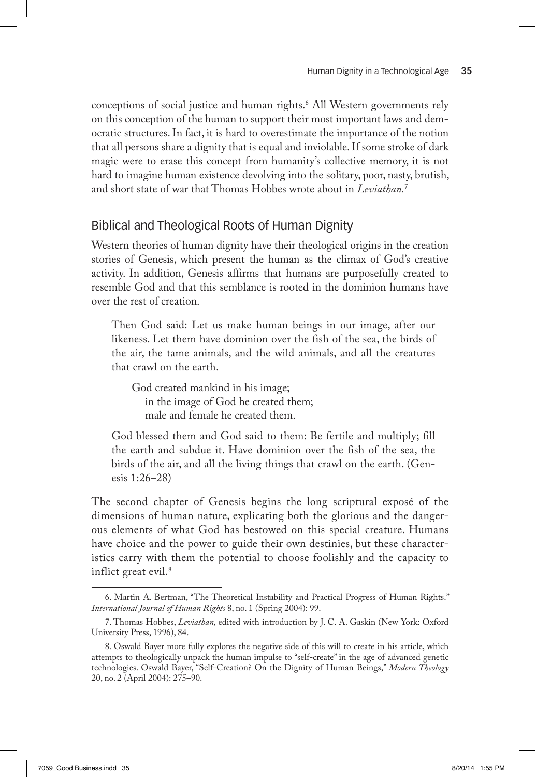conceptions of social justice and human rights.6 All Western governments rely on this conception of the human to support their most important laws and democratic structures. In fact, it is hard to overestimate the importance of the notion that all persons share a dignity that is equal and inviolable. If some stroke of dark magic were to erase this concept from humanity's collective memory, it is not hard to imagine human existence devolving into the solitary, poor, nasty, brutish, and short state of war that Thomas Hobbes wrote about in *Leviathan.*<sup>7</sup>

#### Biblical and Theological Roots of Human Dignity

Western theories of human dignity have their theological origins in the creation stories of Genesis, which present the human as the climax of God's creative activity. In addition, Genesis affirms that humans are purposefully created to resemble God and that this semblance is rooted in the dominion humans have over the rest of creation.

Then God said: Let us make human beings in our image, after our likeness. Let them have dominion over the fish of the sea, the birds of the air, the tame animals, and the wild animals, and all the creatures that crawl on the earth.

God created mankind in his image; in the image of God he created them; male and female he created them.

God blessed them and God said to them: Be fertile and multiply; fill the earth and subdue it. Have dominion over the fish of the sea, the birds of the air, and all the living things that crawl on the earth. (Genesis 1:26–28)

The second chapter of Genesis begins the long scriptural exposé of the dimensions of human nature, explicating both the glorious and the dangerous elements of what God has bestowed on this special creature. Humans have choice and the power to guide their own destinies, but these characteristics carry with them the potential to choose foolishly and the capacity to inflict great evil.<sup>8</sup>

<sup>6.</sup> Martin A. Bertman, "The Theoretical Instability and Practical Progress of Human Rights." *International Journal of Human Rights* 8, no. 1 (Spring 2004): 99.

<sup>7.</sup> Thomas Hobbes, *Leviathan,* edited with introduction by J. C. A. Gaskin (New York: Oxford University Press, 1996), 84.

<sup>8.</sup> Oswald Bayer more fully explores the negative side of this will to create in his article, which attempts to theologically unpack the human impulse to "self-create" in the age of advanced genetic technologies. Oswald Bayer, "Self-Creation? On the Dignity of Human Beings," *Modern Theology* 20, no. 2 (April 2004): 275–90.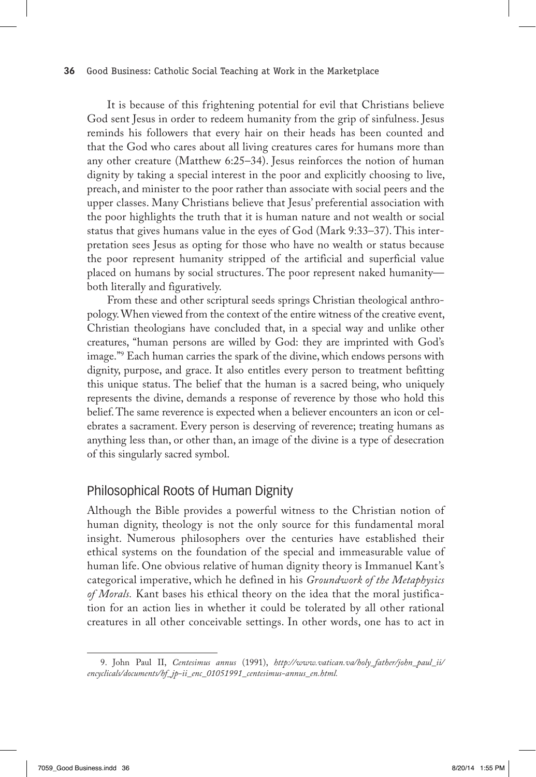It is because of this frightening potential for evil that Christians believe God sent Jesus in order to redeem humanity from the grip of sinfulness. Jesus reminds his followers that every hair on their heads has been counted and that the God who cares about all living creatures cares for humans more than any other creature (Matthew 6:25–34). Jesus reinforces the notion of human dignity by taking a special interest in the poor and explicitly choosing to live, preach, and minister to the poor rather than associate with social peers and the upper classes. Many Christians believe that Jesus' preferential association with the poor highlights the truth that it is human nature and not wealth or social status that gives humans value in the eyes of God (Mark 9:33–37). This interpretation sees Jesus as opting for those who have no wealth or status because the poor represent humanity stripped of the artificial and superficial value placed on humans by social structures. The poor represent naked humanity both literally and figuratively.

From these and other scriptural seeds springs Christian theological anthropology. When viewed from the context of the entire witness of the creative event, Christian theologians have concluded that, in a special way and unlike other creatures, "human persons are willed by God: they are imprinted with God's image."9 Each human carries the spark of the divine, which endows persons with dignity, purpose, and grace. It also entitles every person to treatment befitting this unique status. The belief that the human is a sacred being, who uniquely represents the divine, demands a response of reverence by those who hold this belief. The same reverence is expected when a believer encounters an icon or celebrates a sacrament. Every person is deserving of reverence; treating humans as anything less than, or other than, an image of the divine is a type of desecration of this singularly sacred symbol.

#### Philosophical Roots of Human Dignity

Although the Bible provides a powerful witness to the Christian notion of human dignity, theology is not the only source for this fundamental moral insight. Numerous philosophers over the centuries have established their ethical systems on the foundation of the special and immeasurable value of human life. One obvious relative of human dignity theory is Immanuel Kant's categorical imperative, which he defined in his *Groundwork of the Metaphysics of Morals.* Kant bases his ethical theory on the idea that the moral justification for an action lies in whether it could be tolerated by all other rational creatures in all other conceivable settings. In other words, one has to act in

<sup>9.</sup> John Paul II, *Centesimus annus* (1991), *http://www.vatican.va/holy\_father/john\_paul\_ii/ encyclicals/documents/hf\_jp-ii\_enc\_01051991\_centesimus-annus\_en.html.*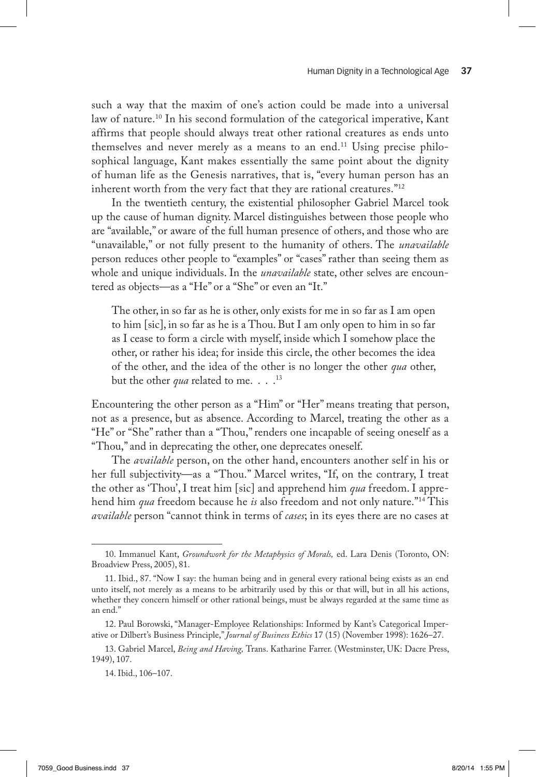such a way that the maxim of one's action could be made into a universal law of nature.10 In his second formulation of the categorical imperative, Kant affirms that people should always treat other rational creatures as ends unto themselves and never merely as a means to an end.<sup>11</sup> Using precise philosophical language, Kant makes essentially the same point about the dignity of human life as the Genesis narratives, that is, "every human person has an inherent worth from the very fact that they are rational creatures."12

In the twentieth century, the existential philosopher Gabriel Marcel took up the cause of human dignity. Marcel distinguishes between those people who are "available," or aware of the full human presence of others, and those who are "unavailable," or not fully present to the humanity of others. The *unavailable* person reduces other people to "examples" or "cases" rather than seeing them as whole and unique individuals. In the *unavailable* state, other selves are encountered as objects—as a "He" or a "She" or even an "It."

The other, in so far as he is other, only exists for me in so far as I am open to him [sic], in so far as he is a Thou. But I am only open to him in so far as I cease to form a circle with myself, inside which I somehow place the other, or rather his idea; for inside this circle, the other becomes the idea of the other, and the idea of the other is no longer the other *qua* other, but the other *qua* related to me. . . . 13

Encountering the other person as a "Him" or "Her" means treating that person, not as a presence, but as absence. According to Marcel, treating the other as a "He" or "She" rather than a "Thou," renders one incapable of seeing oneself as a "Thou," and in deprecating the other, one deprecates oneself.

The *available* person, on the other hand, encounters another self in his or her full subjectivity—as a "Thou." Marcel writes, "If, on the contrary, I treat the other as 'Thou', I treat him [sic] and apprehend him *qua* freedom. I apprehend him *qua* freedom because he *is* also freedom and not only nature."14 This *available* person "cannot think in terms of *cases*; in its eyes there are no cases at

<sup>10.</sup> Immanuel Kant, *Groundwork for the Metaphysics of Morals,* ed. Lara Denis (Toronto, ON: Broadview Press, 2005), 81.

<sup>11.</sup> Ibid., 87. "Now I say: the human being and in general every rational being exists as an end unto itself, not merely as a means to be arbitrarily used by this or that will, but in all his actions, whether they concern himself or other rational beings, must be always regarded at the same time as an end."

<sup>12.</sup> Paul Borowski, "Manager-Employee Relationships: Informed by Kant's Categorical Imperative or Dilbert's Business Principle," *Journal of Business Ethics* 17 (15) (November 1998): 1626–27.

<sup>13.</sup> Gabriel Marcel, *Being and Having,* Trans. Katharine Farrer. (Westminster, UK: Dacre Press, 1949), 107.

<sup>14.</sup> Ibid., 106–107.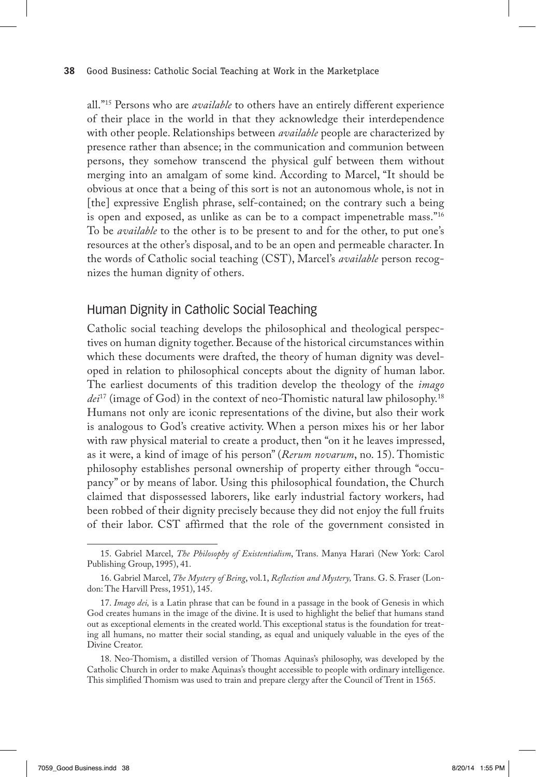all."15 Persons who are *available* to others have an entirely different experience of their place in the world in that they acknowledge their interdependence with other people. Relationships between *available* people are characterized by presence rather than absence; in the communication and communion between persons, they somehow transcend the physical gulf between them without merging into an amalgam of some kind. According to Marcel, "It should be obvious at once that a being of this sort is not an autonomous whole, is not in [the] expressive English phrase, self-contained; on the contrary such a being is open and exposed, as unlike as can be to a compact impenetrable mass."16 To be *available* to the other is to be present to and for the other, to put one's resources at the other's disposal, and to be an open and permeable character. In the words of Catholic social teaching (CST), Marcel's *available* person recognizes the human dignity of others.

#### Human Dignity in Catholic Social Teaching

Catholic social teaching develops the philosophical and theological perspectives on human dignity together. Because of the historical circumstances within which these documents were drafted, the theory of human dignity was developed in relation to philosophical concepts about the dignity of human labor. The earliest documents of this tradition develop the theology of the *imago dei*17 (image of God) in the context of neo-Thomistic natural law philosophy.18 Humans not only are iconic representations of the divine, but also their work is analogous to God's creative activity. When a person mixes his or her labor with raw physical material to create a product, then "on it he leaves impressed, as it were, a kind of image of his person" (*Rerum novarum*, no. 15). Thomistic philosophy establishes personal ownership of property either through "occupancy" or by means of labor. Using this philosophical foundation, the Church claimed that dispossessed laborers, like early industrial factory workers, had been robbed of their dignity precisely because they did not enjoy the full fruits of their labor. CST affirmed that the role of the government consisted in

<sup>15.</sup> Gabriel Marcel, *The Philosophy of Existentialism*, Trans. Manya Harari (New York: Carol Publishing Group, 1995), 41.

<sup>16.</sup> Gabriel Marcel, *The Mystery of Being*, vol.1, *Reflection and Mystery,* Trans. G. S. Fraser (London: The Harvill Press, 1951), 145.

<sup>17.</sup> *Imago dei,* is a Latin phrase that can be found in a passage in the book of Genesis in which God creates humans in the image of the divine. It is used to highlight the belief that humans stand out as exceptional elements in the created world. This exceptional status is the foundation for treating all humans, no matter their social standing, as equal and uniquely valuable in the eyes of the Divine Creator.

<sup>18.</sup> Neo-Thomism, a distilled version of Thomas Aquinas's philosophy, was developed by the Catholic Church in order to make Aquinas's thought accessible to people with ordinary intelligence. This simplified Thomism was used to train and prepare clergy after the Council of Trent in 1565.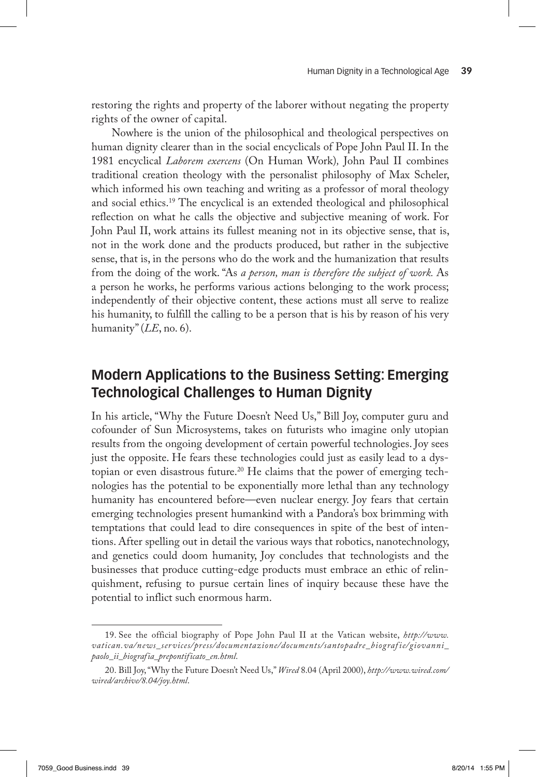restoring the rights and property of the laborer without negating the property rights of the owner of capital.

Nowhere is the union of the philosophical and theological perspectives on human dignity clearer than in the social encyclicals of Pope John Paul II. In the 1981 encyclical *Laborem exercens* (On Human Work)*,* John Paul II combines traditional creation theology with the personalist philosophy of Max Scheler, which informed his own teaching and writing as a professor of moral theology and social ethics.19 The encyclical is an extended theological and philosophical reflection on what he calls the objective and subjective meaning of work. For John Paul II, work attains its fullest meaning not in its objective sense, that is, not in the work done and the products produced, but rather in the subjective sense, that is, in the persons who do the work and the humanization that results from the doing of the work. "As *a person, man is therefore the subject of work.* As a person he works, he performs various actions belonging to the work process; independently of their objective content, these actions must all serve to realize his humanity, to fulfill the calling to be a person that is his by reason of his very humanity" (*LE*, no. 6).

## **Modern Applications to the Business Setting: Emerging Technological Challenges to Human Dignity**

In his article, "Why the Future Doesn't Need Us," Bill Joy, computer guru and cofounder of Sun Microsystems, takes on futurists who imagine only utopian results from the ongoing development of certain powerful technologies. Joy sees just the opposite. He fears these technologies could just as easily lead to a dystopian or even disastrous future.20 He claims that the power of emerging technologies has the potential to be exponentially more lethal than any technology humanity has encountered before—even nuclear energy. Joy fears that certain emerging technologies present humankind with a Pandora's box brimming with temptations that could lead to dire consequences in spite of the best of intentions. After spelling out in detail the various ways that robotics, nanotechnology, and genetics could doom humanity, Joy concludes that technologists and the businesses that produce cutting-edge products must embrace an ethic of relinquishment, refusing to pursue certain lines of inquiry because these have the potential to inflict such enormous harm.

<sup>19.</sup> See the official biography of Pope John Paul II at the Vatican website, *http://www. vatican.va/news\_services/press/documentazione/documents/santopadre\_biografie/giovanni\_ paolo\_ii\_biografia\_prepontificato\_en.html*.

<sup>20.</sup> Bill Joy, "Why the Future Doesn't Need Us," *Wired* 8.04 (April 2000), *http://www.wired.com/ wired/archive/8.04/joy.html*.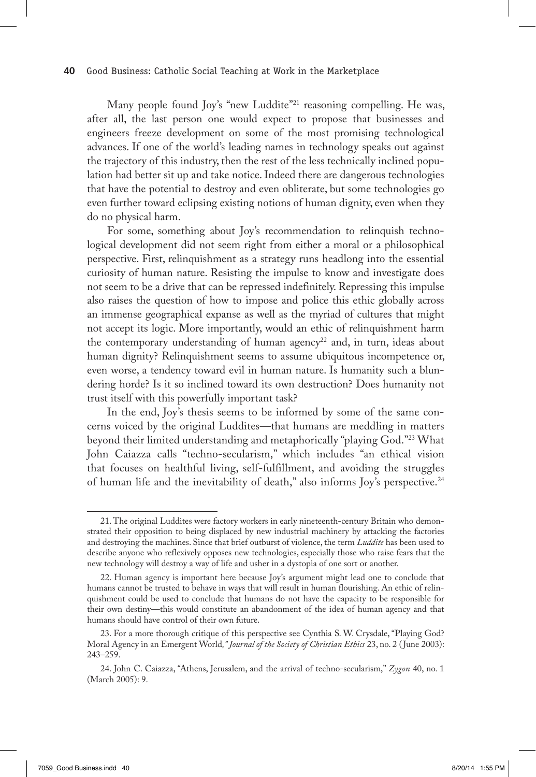Many people found Joy's "new Luddite"<sup>21</sup> reasoning compelling. He was, after all, the last person one would expect to propose that businesses and engineers freeze development on some of the most promising technological advances. If one of the world's leading names in technology speaks out against the trajectory of this industry, then the rest of the less technically inclined population had better sit up and take notice. Indeed there are dangerous technologies that have the potential to destroy and even obliterate, but some technologies go even further toward eclipsing existing notions of human dignity, even when they do no physical harm.

For some, something about Joy's recommendation to relinquish technological development did not seem right from either a moral or a philosophical perspective. First, relinquishment as a strategy runs headlong into the essential curiosity of human nature. Resisting the impulse to know and investigate does not seem to be a drive that can be repressed indefinitely. Repressing this impulse also raises the question of how to impose and police this ethic globally across an immense geographical expanse as well as the myriad of cultures that might not accept its logic. More importantly, would an ethic of relinquishment harm the contemporary understanding of human agency<sup>22</sup> and, in turn, ideas about human dignity? Relinquishment seems to assume ubiquitous incompetence or, even worse, a tendency toward evil in human nature. Is humanity such a blundering horde? Is it so inclined toward its own destruction? Does humanity not trust itself with this powerfully important task?

In the end, Joy's thesis seems to be informed by some of the same concerns voiced by the original Luddites—that humans are meddling in matters beyond their limited understanding and metaphorically "playing God."23 What John Caiazza calls "techno-secularism," which includes "an ethical vision that focuses on healthful living, self-fulfillment, and avoiding the struggles of human life and the inevitability of death," also informs Joy's perspective.<sup>24</sup>

<sup>21.</sup> The original Luddites were factory workers in early nineteenth-century Britain who demonstrated their opposition to being displaced by new industrial machinery by attacking the factories and destroying the machines. Since that brief outburst of violence, the term *Luddite* has been used to describe anyone who reflexively opposes new technologies, especially those who raise fears that the new technology will destroy a way of life and usher in a dystopia of one sort or another.

<sup>22.</sup> Human agency is important here because Joy's argument might lead one to conclude that humans cannot be trusted to behave in ways that will result in human flourishing. An ethic of relinquishment could be used to conclude that humans do not have the capacity to be responsible for their own destiny—this would constitute an abandonment of the idea of human agency and that humans should have control of their own future.

<sup>23.</sup> For a more thorough critique of this perspective see Cynthia S. W. Crysdale, "Playing God? Moral Agency in an Emergent World*," Journal of the Society of Christian Ethics* 23, no. 2 ( June 2003): 243–259.

<sup>24.</sup> John C. Caiazza, "Athens, Jerusalem, and the arrival of techno-secularism," *Zygon* 40, no. 1 (March 2005): 9.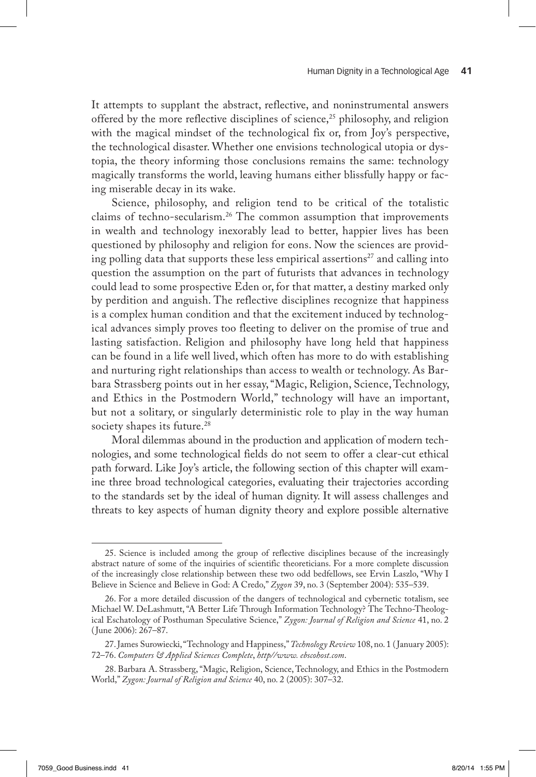It attempts to supplant the abstract, reflective, and noninstrumental answers offered by the more reflective disciplines of science,<sup>25</sup> philosophy, and religion with the magical mindset of the technological fix or, from Joy's perspective, the technological disaster. Whether one envisions technological utopia or dystopia, the theory informing those conclusions remains the same: technology magically transforms the world, leaving humans either blissfully happy or facing miserable decay in its wake.

Science, philosophy, and religion tend to be critical of the totalistic claims of techno-secularism.<sup>26</sup> The common assumption that improvements in wealth and technology inexorably lead to better, happier lives has been questioned by philosophy and religion for eons. Now the sciences are providing polling data that supports these less empirical assertions<sup>27</sup> and calling into question the assumption on the part of futurists that advances in technology could lead to some prospective Eden or, for that matter, a destiny marked only by perdition and anguish. The reflective disciplines recognize that happiness is a complex human condition and that the excitement induced by technological advances simply proves too fleeting to deliver on the promise of true and lasting satisfaction. Religion and philosophy have long held that happiness can be found in a life well lived, which often has more to do with establishing and nurturing right relationships than access to wealth or technology. As Barbara Strassberg points out in her essay, "Magic, Religion, Science, Technology, and Ethics in the Postmodern World," technology will have an important, but not a solitary, or singularly deterministic role to play in the way human society shapes its future.<sup>28</sup>

Moral dilemmas abound in the production and application of modern technologies, and some technological fields do not seem to offer a clear-cut ethical path forward. Like Joy's article, the following section of this chapter will examine three broad technological categories, evaluating their trajectories according to the standards set by the ideal of human dignity. It will assess challenges and threats to key aspects of human dignity theory and explore possible alternative

<sup>25.</sup> Science is included among the group of reflective disciplines because of the increasingly abstract nature of some of the inquiries of scientific theoreticians. For a more complete discussion of the increasingly close relationship between these two odd bedfellows, see Ervin Laszlo, "Why I Believe in Science and Believe in God: A Credo," *Zygon* 39, no. 3 (September 2004): 535–539.

<sup>26.</sup> For a more detailed discussion of the dangers of technological and cybernetic totalism, see Michael W. DeLashmutt, "A Better Life Through Information Technology? The Techno-Theological Eschatology of Posthuman Speculative Science," *Zygon: Journal of Religion and Science* 41, no. 2 ( June 2006): 267–87.

<sup>27.</sup> James Surowiecki, "Technology and Happiness," *Technology Review* 108, no. 1 ( January 2005): 72–76. *Computers & Applied Sciences Complete*, *http//www. ebscohost.com*.

<sup>28.</sup> Barbara A. Strassberg, "Magic, Religion, Science, Technology, and Ethics in the Postmodern World," *Zygon: Journal of Religion and Science* 40, no. 2 (2005): 307–32.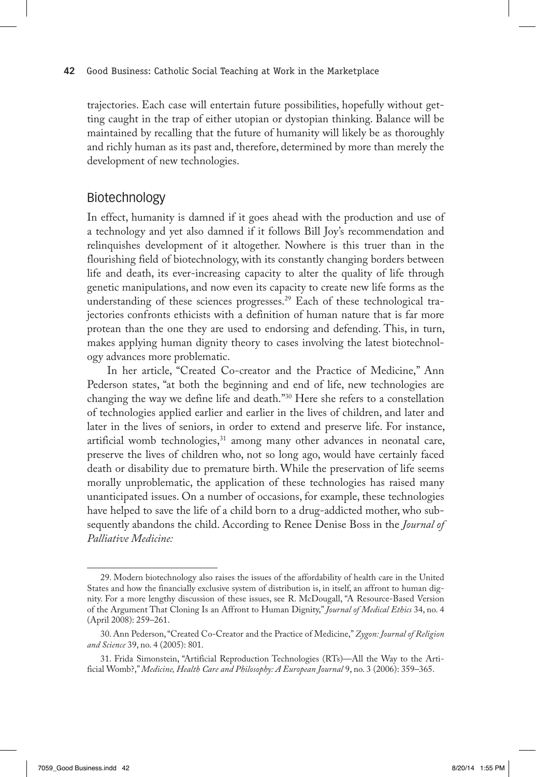trajectories. Each case will entertain future possibilities, hopefully without getting caught in the trap of either utopian or dystopian thinking. Balance will be maintained by recalling that the future of humanity will likely be as thoroughly and richly human as its past and, therefore, determined by more than merely the development of new technologies.

#### Biotechnology

In effect, humanity is damned if it goes ahead with the production and use of a technology and yet also damned if it follows Bill Joy's recommendation and relinquishes development of it altogether. Nowhere is this truer than in the flourishing field of biotechnology, with its constantly changing borders between life and death, its ever-increasing capacity to alter the quality of life through genetic manipulations, and now even its capacity to create new life forms as the understanding of these sciences progresses.<sup>29</sup> Each of these technological trajectories confronts ethicists with a definition of human nature that is far more protean than the one they are used to endorsing and defending. This, in turn, makes applying human dignity theory to cases involving the latest biotechnology advances more problematic.

In her article, "Created Co-creator and the Practice of Medicine," Ann Pederson states, "at both the beginning and end of life, new technologies are changing the way we define life and death."30 Here she refers to a constellation of technologies applied earlier and earlier in the lives of children, and later and later in the lives of seniors, in order to extend and preserve life. For instance, artificial womb technologies, $31$  among many other advances in neonatal care, preserve the lives of children who, not so long ago, would have certainly faced death or disability due to premature birth. While the preservation of life seems morally unproblematic, the application of these technologies has raised many unanticipated issues. On a number of occasions, for example, these technologies have helped to save the life of a child born to a drug-addicted mother, who subsequently abandons the child. According to Renee Denise Boss in the *Journal of Palliative Medicine:*

<sup>29.</sup> Modern biotechnology also raises the issues of the affordability of health care in the United States and how the financially exclusive system of distribution is, in itself, an affront to human dignity. For a more lengthy discussion of these issues, see R. McDougall, "A Resource-Based Version of the Argument That Cloning Is an Affront to Human Dignity," *Journal of Medical Ethics* 34, no. 4 (April 2008): 259–261.

<sup>30.</sup> Ann Pederson, "Created Co-Creator and the Practice of Medicine," *Zygon: Journal of Religion and Science* 39, no. 4 (2005): 801.

<sup>31.</sup> Frida Simonstein, "Artificial Reproduction Technologies (RTs)—All the Way to the Artificial Womb?," *Medicine, Health Care and Philosophy: A European Journal* 9, no. 3 (2006): 359–365.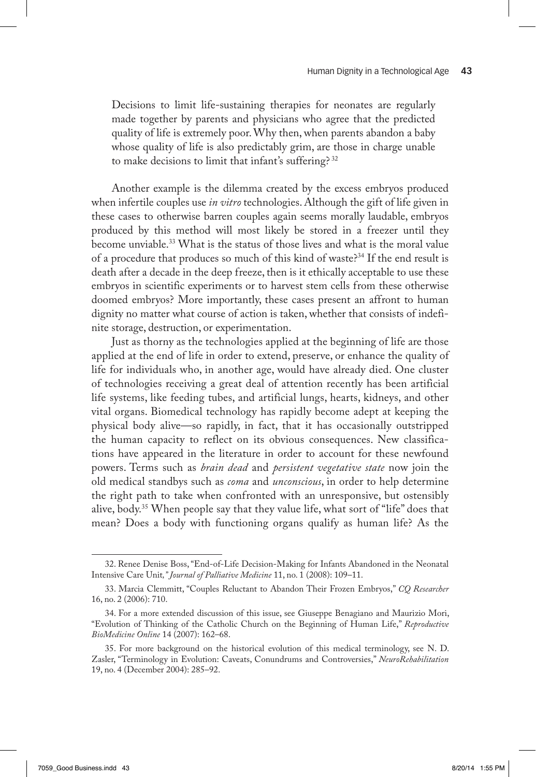Decisions to limit life-sustaining therapies for neonates are regularly made together by parents and physicians who agree that the predicted quality of life is extremely poor. Why then, when parents abandon a baby whose quality of life is also predictably grim, are those in charge unable to make decisions to limit that infant's suffering? 32

Another example is the dilemma created by the excess embryos produced when infertile couples use *in vitro* technologies. Although the gift of life given in these cases to otherwise barren couples again seems morally laudable, embryos produced by this method will most likely be stored in a freezer until they become unviable.33 What is the status of those lives and what is the moral value of a procedure that produces so much of this kind of waste?34 If the end result is death after a decade in the deep freeze, then is it ethically acceptable to use these embryos in scientific experiments or to harvest stem cells from these otherwise doomed embryos? More importantly, these cases present an affront to human dignity no matter what course of action is taken, whether that consists of indefinite storage, destruction, or experimentation.

Just as thorny as the technologies applied at the beginning of life are those applied at the end of life in order to extend, preserve, or enhance the quality of life for individuals who, in another age, would have already died. One cluster of technologies receiving a great deal of attention recently has been artificial life systems, like feeding tubes, and artificial lungs, hearts, kidneys, and other vital organs. Biomedical technology has rapidly become adept at keeping the physical body alive—so rapidly, in fact, that it has occasionally outstripped the human capacity to reflect on its obvious consequences. New classifications have appeared in the literature in order to account for these newfound powers. Terms such as *brain dead* and *persistent vegetative state* now join the old medical standbys such as *coma* and *unconscious*, in order to help determine the right path to take when confronted with an unresponsive, but ostensibly alive, body.35 When people say that they value life, what sort of "life" does that mean? Does a body with functioning organs qualify as human life? As the

<sup>32.</sup> Renee Denise Boss, "End-of-Life Decision-Making for Infants Abandoned in the Neonatal Intensive Care Unit*," Journal of Palliative Medicine* 11, no. 1 (2008): 109–11.

<sup>33.</sup> Marcia Clemmitt, "Couples Reluctant to Abandon Their Frozen Embryos," *CQ Researcher* 16, no. 2 (2006): 710.

<sup>34.</sup> For a more extended discussion of this issue, see Giuseppe Benagiano and Maurizio Mori, "Evolution of Thinking of the Catholic Church on the Beginning of Human Life," *Reproductive BioMedicine Online* 14 (2007): 162–68.

<sup>35.</sup> For more background on the historical evolution of this medical terminology, see N. D. Zasler, "Terminology in Evolution: Caveats, Conundrums and Controversies," *NeuroRehabilitation* 19, no. 4 (December 2004): 285–92.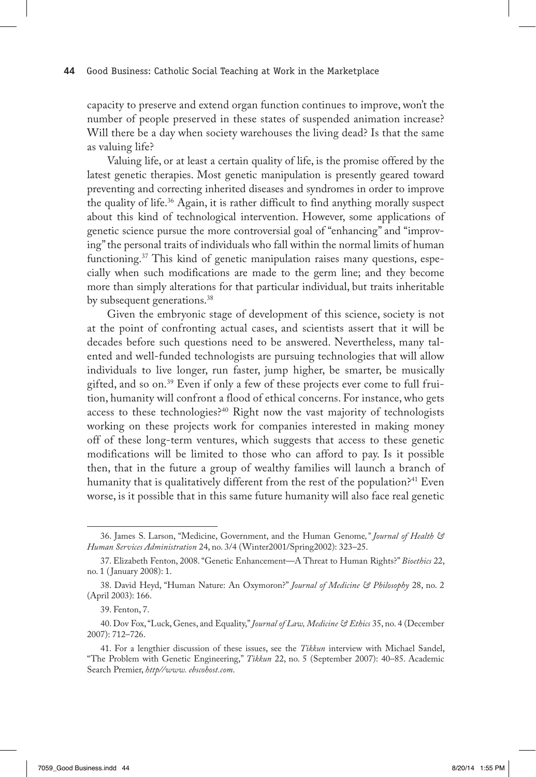capacity to preserve and extend organ function continues to improve, won't the number of people preserved in these states of suspended animation increase? Will there be a day when society warehouses the living dead? Is that the same as valuing life?

Valuing life, or at least a certain quality of life, is the promise offered by the latest genetic therapies. Most genetic manipulation is presently geared toward preventing and correcting inherited diseases and syndromes in order to improve the quality of life.<sup>36</sup> Again, it is rather difficult to find anything morally suspect about this kind of technological intervention. However, some applications of genetic science pursue the more controversial goal of "enhancing" and "improving" the personal traits of individuals who fall within the normal limits of human functioning.37 This kind of genetic manipulation raises many questions, especially when such modifications are made to the germ line; and they become more than simply alterations for that particular individual, but traits inheritable by subsequent generations.<sup>38</sup>

Given the embryonic stage of development of this science, society is not at the point of confronting actual cases, and scientists assert that it will be decades before such questions need to be answered. Nevertheless, many talented and well-funded technologists are pursuing technologies that will allow individuals to live longer, run faster, jump higher, be smarter, be musically gifted, and so on.39 Even if only a few of these projects ever come to full fruition, humanity will confront a flood of ethical concerns. For instance, who gets access to these technologies?<sup>40</sup> Right now the vast majority of technologists working on these projects work for companies interested in making money off of these long-term ventures, which suggests that access to these genetic modifications will be limited to those who can afford to pay. Is it possible then, that in the future a group of wealthy families will launch a branch of humanity that is qualitatively different from the rest of the population?<sup>41</sup> Even worse, is it possible that in this same future humanity will also face real genetic

<sup>36.</sup> James S. Larson, "Medicine, Government, and the Human Genome*," Journal of Health & Human Services Administration* 24, no. 3/4 (Winter2001/Spring2002): 323–25.

<sup>37.</sup> Elizabeth Fenton, 2008. "Genetic Enhancement—A Threat to Human Rights?" *Bioethics* 22, no. 1 ( January 2008): 1.

<sup>38.</sup> David Heyd, "Human Nature: An Oxymoron?" *Journal of Medicine & Philosophy* 28, no. 2 (April 2003): 166.

<sup>39.</sup> Fenton, 7.

<sup>40.</sup> Dov Fox, "Luck, Genes, and Equality," *Journal of Law, Medicine & Ethics* 35, no. 4 (December 2007): 712–726.

<sup>41.</sup> For a lengthier discussion of these issues, see the *Tikkun* interview with Michael Sandel, "The Problem with Genetic Engineering," *Tikkun* 22, no. 5 (September 2007): 40–85. Academic Search Premier, *http//www. ebscohost.com*.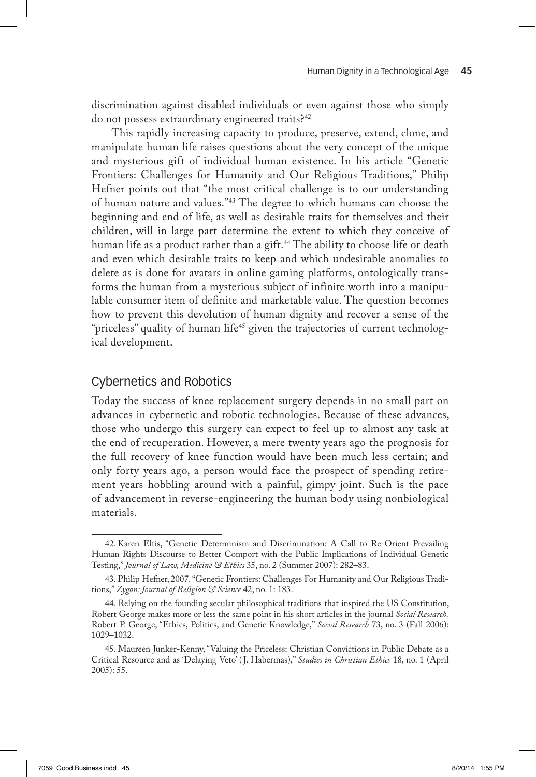discrimination against disabled individuals or even against those who simply do not possess extraordinary engineered traits?42

This rapidly increasing capacity to produce, preserve, extend, clone, and manipulate human life raises questions about the very concept of the unique and mysterious gift of individual human existence. In his article "Genetic Frontiers: Challenges for Humanity and Our Religious Traditions," Philip Hefner points out that "the most critical challenge is to our understanding of human nature and values."43 The degree to which humans can choose the beginning and end of life, as well as desirable traits for themselves and their children, will in large part determine the extent to which they conceive of human life as a product rather than a gift.<sup>44</sup> The ability to choose life or death and even which desirable traits to keep and which undesirable anomalies to delete as is done for avatars in online gaming platforms, ontologically transforms the human from a mysterious subject of infinite worth into a manipulable consumer item of definite and marketable value. The question becomes how to prevent this devolution of human dignity and recover a sense of the "priceless" quality of human life<sup>45</sup> given the trajectories of current technological development.

#### Cybernetics and Robotics

Today the success of knee replacement surgery depends in no small part on advances in cybernetic and robotic technologies. Because of these advances, those who undergo this surgery can expect to feel up to almost any task at the end of recuperation. However, a mere twenty years ago the prognosis for the full recovery of knee function would have been much less certain; and only forty years ago, a person would face the prospect of spending retirement years hobbling around with a painful, gimpy joint. Such is the pace of advancement in reverse-engineering the human body using nonbiological materials.

<sup>42.</sup> Karen Eltis, "Genetic Determinism and Discrimination: A Call to Re-Orient Prevailing Human Rights Discourse to Better Comport with the Public Implications of Individual Genetic Testing," *Journal of Law, Medicine & Ethics* 35, no. 2 (Summer 2007): 282–83.

<sup>43.</sup> Philip Hefner, 2007. "Genetic Frontiers: Challenges For Humanity and Our Religious Traditions," *Zygon: Journal of Religion & Science* 42, no. 1: 183.

<sup>44.</sup> Relying on the founding secular philosophical traditions that inspired the US Constitution, Robert George makes more or less the same point in his short articles in the journal *Social Research.* Robert P. George, "Ethics, Politics, and Genetic Knowledge," *Social Research* 73, no. 3 (Fall 2006): 1029–1032.

<sup>45.</sup> Maureen Junker-Kenny, "Valuing the Priceless: Christian Convictions in Public Debate as a Critical Resource and as 'Delaying Veto' ( J. Habermas)," *Studies in Christian Ethics* 18, no. 1 (April 2005): 55.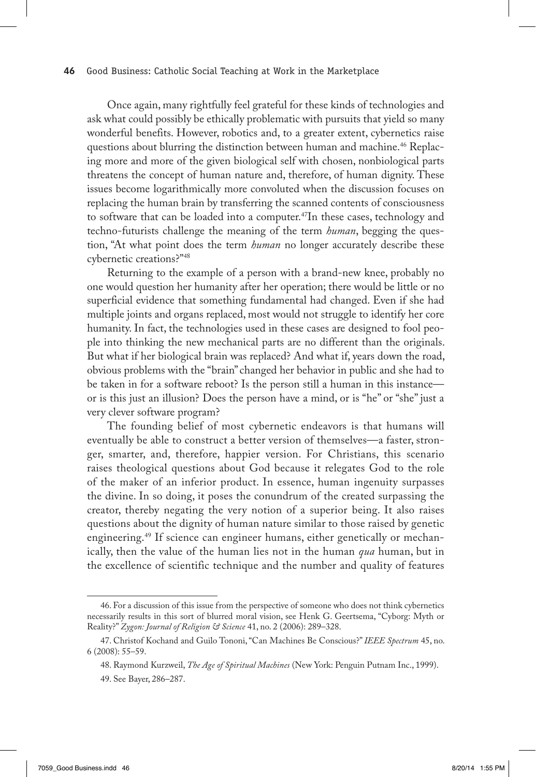Once again, many rightfully feel grateful for these kinds of technologies and ask what could possibly be ethically problematic with pursuits that yield so many wonderful benefits. However, robotics and, to a greater extent, cybernetics raise questions about blurring the distinction between human and machine.<sup>46</sup> Replacing more and more of the given biological self with chosen, nonbiological parts threatens the concept of human nature and, therefore, of human dignity. These issues become logarithmically more convoluted when the discussion focuses on replacing the human brain by transferring the scanned contents of consciousness to software that can be loaded into a computer.<sup>47</sup>In these cases, technology and techno-futurists challenge the meaning of the term *human*, begging the question, "At what point does the term *human* no longer accurately describe these cybernetic creations?"48

Returning to the example of a person with a brand-new knee, probably no one would question her humanity after her operation; there would be little or no superficial evidence that something fundamental had changed. Even if she had multiple joints and organs replaced, most would not struggle to identify her core humanity. In fact, the technologies used in these cases are designed to fool people into thinking the new mechanical parts are no different than the originals. But what if her biological brain was replaced? And what if, years down the road, obvious problems with the "brain" changed her behavior in public and she had to be taken in for a software reboot? Is the person still a human in this instance or is this just an illusion? Does the person have a mind, or is "he" or "she" just a very clever software program?

The founding belief of most cybernetic endeavors is that humans will eventually be able to construct a better version of themselves—a faster, stronger, smarter, and, therefore, happier version. For Christians, this scenario raises theological questions about God because it relegates God to the role of the maker of an inferior product. In essence, human ingenuity surpasses the divine. In so doing, it poses the conundrum of the created surpassing the creator, thereby negating the very notion of a superior being. It also raises questions about the dignity of human nature similar to those raised by genetic engineering.49 If science can engineer humans, either genetically or mechanically, then the value of the human lies not in the human *qua* human, but in the excellence of scientific technique and the number and quality of features

<sup>46.</sup> For a discussion of this issue from the perspective of someone who does not think cybernetics necessarily results in this sort of blurred moral vision, see Henk G. Geertsema, "Cyborg: Myth or Reality?" *Zygon: Journal of Religion & Science* 41, no. 2 (2006): 289–328.

<sup>47.</sup> Christof Kochand and Guilo Tononi, "Can Machines Be Conscious?" *IEEE Spectrum* 45, no. 6 (2008): 55–59.

<sup>48.</sup> Raymond Kurzweil, *The Age of Spiritual Machines* (New York: Penguin Putnam Inc., 1999).

<sup>49.</sup> See Bayer, 286–287.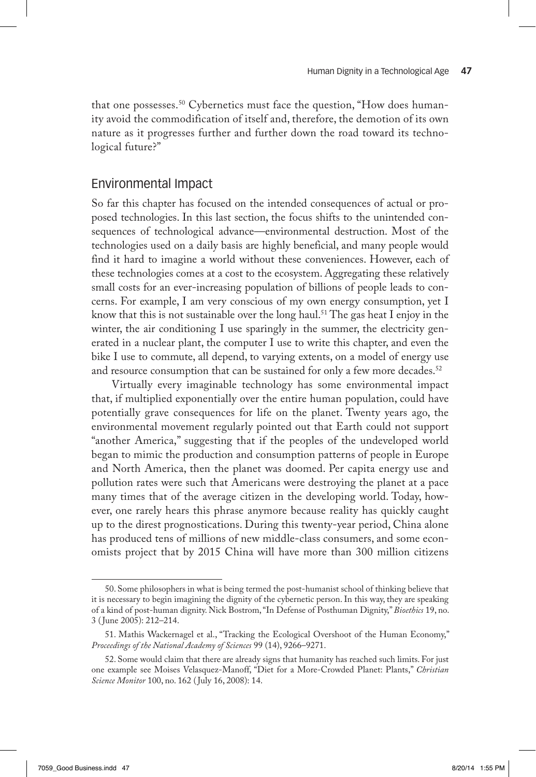that one possesses.50 Cybernetics must face the question, "How does humanity avoid the commodification of itself and, therefore, the demotion of its own nature as it progresses further and further down the road toward its technological future?"

#### Environmental Impact

So far this chapter has focused on the intended consequences of actual or proposed technologies. In this last section, the focus shifts to the unintended consequences of technological advance—environmental destruction. Most of the technologies used on a daily basis are highly beneficial, and many people would find it hard to imagine a world without these conveniences. However, each of these technologies comes at a cost to the ecosystem. Aggregating these relatively small costs for an ever-increasing population of billions of people leads to concerns. For example, I am very conscious of my own energy consumption, yet I know that this is not sustainable over the long haul.<sup>51</sup> The gas heat I enjoy in the winter, the air conditioning I use sparingly in the summer, the electricity generated in a nuclear plant, the computer I use to write this chapter, and even the bike I use to commute, all depend, to varying extents, on a model of energy use and resource consumption that can be sustained for only a few more decades.<sup>52</sup>

Virtually every imaginable technology has some environmental impact that, if multiplied exponentially over the entire human population, could have potentially grave consequences for life on the planet. Twenty years ago, the environmental movement regularly pointed out that Earth could not support "another America," suggesting that if the peoples of the undeveloped world began to mimic the production and consumption patterns of people in Europe and North America, then the planet was doomed. Per capita energy use and pollution rates were such that Americans were destroying the planet at a pace many times that of the average citizen in the developing world. Today, however, one rarely hears this phrase anymore because reality has quickly caught up to the direst prognostications. During this twenty-year period, China alone has produced tens of millions of new middle-class consumers, and some economists project that by 2015 China will have more than 300 million citizens

<sup>50.</sup> Some philosophers in what is being termed the post-humanist school of thinking believe that it is necessary to begin imagining the dignity of the cybernetic person. In this way, they are speaking of a kind of post-human dignity. Nick Bostrom, "In Defense of Posthuman Dignity," *Bioethics* 19, no. 3 ( June 2005): 212–214.

<sup>51.</sup> Mathis Wackernagel et al., "Tracking the Ecological Overshoot of the Human Economy," *Proceedings of the National Academy of Sciences* 99 (14), 9266–9271.

<sup>52.</sup> Some would claim that there are already signs that humanity has reached such limits. For just one example see Moises Velasquez-Manoff, "Diet for a More-Crowded Planet: Plants," *Christian Science Monitor* 100, no. 162 ( July 16, 2008): 14.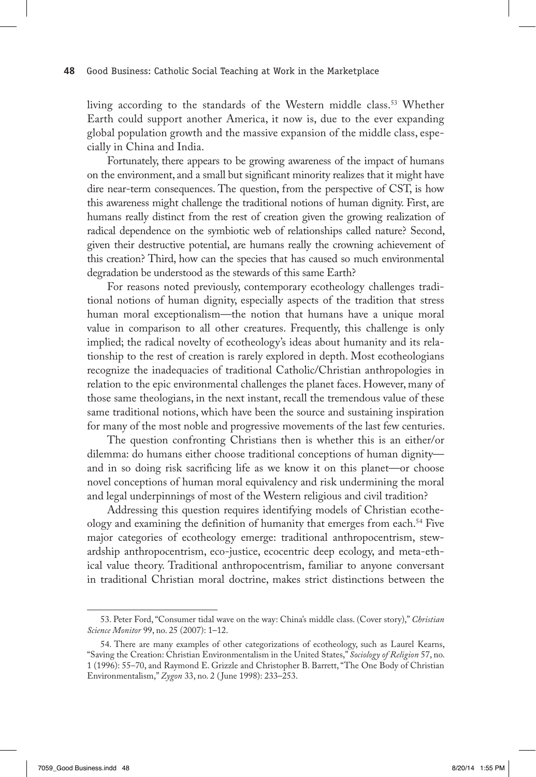living according to the standards of the Western middle class.<sup>53</sup> Whether Earth could support another America, it now is, due to the ever expanding global population growth and the massive expansion of the middle class, especially in China and India.

Fortunately, there appears to be growing awareness of the impact of humans on the environment, and a small but significant minority realizes that it might have dire near-term consequences. The question, from the perspective of CST, is how this awareness might challenge the traditional notions of human dignity. First, are humans really distinct from the rest of creation given the growing realization of radical dependence on the symbiotic web of relationships called nature? Second, given their destructive potential, are humans really the crowning achievement of this creation? Third, how can the species that has caused so much environmental degradation be understood as the stewards of this same Earth?

For reasons noted previously, contemporary ecotheology challenges traditional notions of human dignity, especially aspects of the tradition that stress human moral exceptionalism—the notion that humans have a unique moral value in comparison to all other creatures. Frequently, this challenge is only implied; the radical novelty of ecotheology's ideas about humanity and its relationship to the rest of creation is rarely explored in depth. Most ecotheologians recognize the inadequacies of traditional Catholic/Christian anthropologies in relation to the epic environmental challenges the planet faces. However, many of those same theologians, in the next instant, recall the tremendous value of these same traditional notions, which have been the source and sustaining inspiration for many of the most noble and progressive movements of the last few centuries.

The question confronting Christians then is whether this is an either/or dilemma: do humans either choose traditional conceptions of human dignity and in so doing risk sacrificing life as we know it on this planet—or choose novel conceptions of human moral equivalency and risk undermining the moral and legal underpinnings of most of the Western religious and civil tradition?

Addressing this question requires identifying models of Christian ecotheology and examining the definition of humanity that emerges from each.<sup>54</sup> Five major categories of ecotheology emerge: traditional anthropocentrism, stewardship anthropocentrism, eco-justice, ecocentric deep ecology, and meta-ethical value theory. Traditional anthropocentrism, familiar to anyone conversant in traditional Christian moral doctrine, makes strict distinctions between the

<sup>53.</sup> Peter Ford, "Consumer tidal wave on the way: China's middle class. (Cover story)," *Christian Science Monitor* 99, no. 25 (2007): 1–12.

<sup>54.</sup> There are many examples of other categorizations of ecotheology, such as Laurel Kearns, "Saving the Creation: Christian Environmentalism in the United States," *Sociology of Religion* 57, no. 1 (1996): 55–70, and Raymond E. Grizzle and Christopher B. Barrett, "The One Body of Christian Environmentalism," *Zygon* 33, no. 2 ( June 1998): 233–253.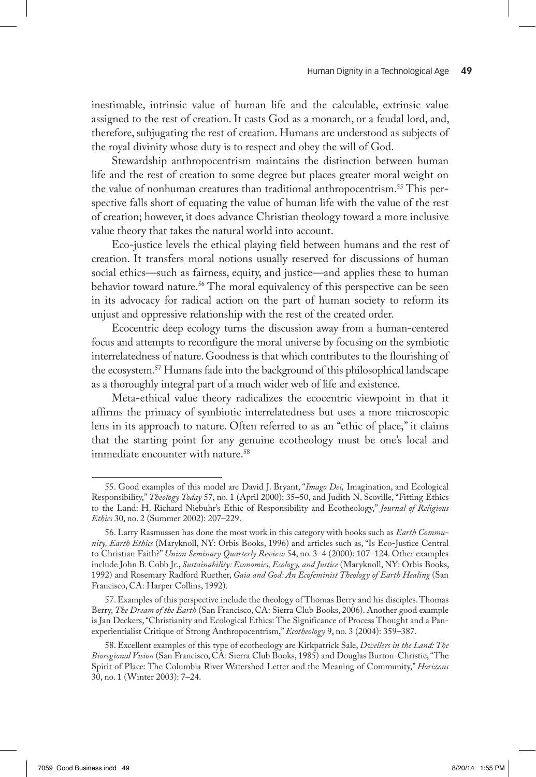inestimable, intrinsic value of human life and the calculable, extrinsic value assigned to the rest of creation. It casts God as a monarch, or a feudal lord, and, therefore, subjugating the rest of creation. Humans are understood as subjects of the royal divinity whose duty is to respect and obey the will of God.

Stewardship anthropocentrism maintains the distinction between human life and the rest of creation to some degree but places greater moral weight on the value of nonhuman creatures than traditional anthropocentrism.<sup>55</sup> This perspective falls short of equating the value of human life with the value of the rest of creation; however, it does advance Christian theology toward a more inclusive value theory that takes the natural world into account.

Eco-justice levels the ethical playing field between humans and the rest of creation. It transfers moral notions usually reserved for discussions of human social ethics—such as fairness, equity, and justice—and applies these to human behavior toward nature.<sup>56</sup> The moral equivalency of this perspective can be seen in its advocacy for radical action on the part of human society to reform its unjust and oppressive relationship with the rest of the created order.

Ecocentric deep ecology turns the discussion away from a human-centered focus and attempts to reconfigure the moral universe by focusing on the symbiotic interrelatedness of nature. Goodness is that which contributes to the flourishing of the ecosystem.57 Humans fade into the background of this philosophical landscape as a thoroughly integral part of a much wider web of life and existence.

Meta-ethical value theory radicalizes the ecocentric viewpoint in that it affirms the primacy of symbiotic interrelatedness but uses a more microscopic lens in its approach to nature. Often referred to as an "ethic of place," it claims that the starting point for any genuine ecotheology must be one's local and immediate encounter with nature<sup>58</sup>

<sup>55.</sup> Good examples of this model are David J. Bryant, "*Imago Dei,* Imagination, and Ecological Responsibility," *Theology Today* 57, no. 1 (April 2000): 35–50, and Judith N. Scoville, "Fitting Ethics to the Land: H. Richard Niebuhr's Ethic of Responsibility and Ecotheology," *Journal of Religious Ethics* 30, no. 2 (Summer 2002): 207–229.

<sup>56.</sup> Larry Rasmussen has done the most work in this category with books such as *Earth Community, Earth Ethics* (Maryknoll, NY: Orbis Books, 1996) and articles such as, "Is Eco-Justice Central to Christian Faith?" *Union Seminary Quarterly Review* 54, no. 3–4 (2000): 107–124. Other examples include John B. Cobb Jr., *Sustainability: Economics, Ecology, and Justice* (Maryknoll, NY: Orbis Books, 1992) and Rosemary Radford Ruether, *Gaia and God: An Ecofeminist Theology of Earth Healing* (San Francisco, CA: Harper Collins, 1992).

<sup>57.</sup> Examples of this perspective include the theology of Thomas Berry and his disciples. Thomas Berry, *The Dream of the Earth* (San Francisco, CA: Sierra Club Books, 2006). Another good example is Jan Deckers, "Christianity and Ecological Ethics: The Significance of Process Thought and a Panexperientialist Critique of Strong Anthropocentrism," *Ecotheology* 9, no. 3 (2004): 359–387.

<sup>58.</sup> Excellent examples of this type of ecotheology are Kirkpatrick Sale, *Dwellers in the Land: The Bioregional Vision* (San Francisco, CA: Sierra Club Books, 1985) and Douglas Burton-Christie, "The Spirit of Place: The Columbia River Watershed Letter and the Meaning of Community," *Horizons* 30, no. 1 (Winter 2003): 7–24.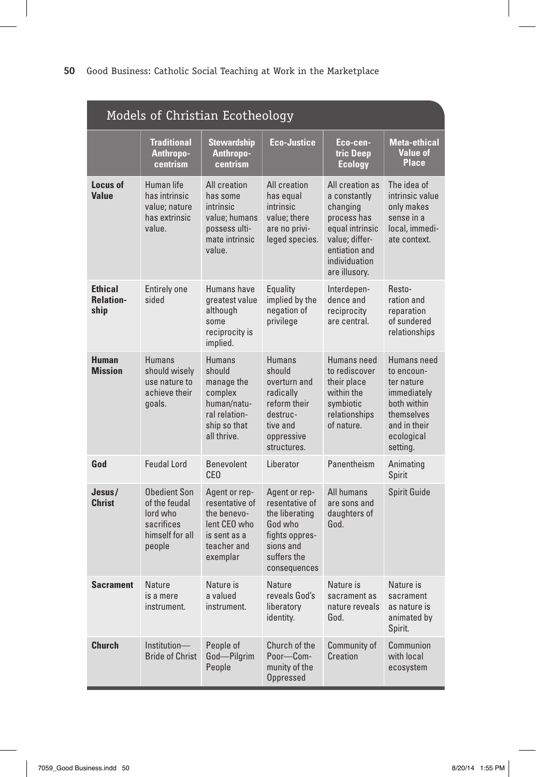$\overline{\phantom{a}}$ 

| Models of Christian Ecotheology            |                                                                                             |                                                                                                                 |                                                                                                                            |                                                                                                                                                    |                                                                                                                               |
|--------------------------------------------|---------------------------------------------------------------------------------------------|-----------------------------------------------------------------------------------------------------------------|----------------------------------------------------------------------------------------------------------------------------|----------------------------------------------------------------------------------------------------------------------------------------------------|-------------------------------------------------------------------------------------------------------------------------------|
|                                            | <b>Traditional</b><br>Anthropo-<br>centrism                                                 | <b>Stewardship</b><br><b>Anthropo-</b><br>centrism                                                              | Eco-Justice                                                                                                                | Eco-cen-<br>tric Deep<br><b>Ecology</b>                                                                                                            | <b>Meta-ethical</b><br><b>Value of</b><br><b>Place</b>                                                                        |
| Locus of<br>Value                          | Human life<br>has intrinsic<br>value; nature<br>has extrinsic<br>value.                     | All creation<br>has some<br>intrinsic<br>value; humans<br>possess ulti-<br>mate intrinsic<br>value.             | All creation<br>has equal<br>intrinsic<br>value; there<br>are no privi-<br>leged species.                                  | All creation as<br>a constantly<br>changing<br>process has<br>equal intrinsic<br>value; differ-<br>entiation and<br>individuation<br>are illusory. | The idea of<br>intrinsic value<br>only makes<br>sense in a<br>local, immedi-<br>ate context.                                  |
| <b>Ethical</b><br><b>Relation-</b><br>ship | <b>Entirely one</b><br>sided                                                                | Humans have<br>greatest value<br>although<br>some<br>reciprocity is<br>implied.                                 | Equality<br>implied by the<br>negation of<br>privilege                                                                     | Interdepen-<br>dence and<br>reciprocity<br>are central.                                                                                            | Resto-<br>ration and<br>reparation<br>of sundered<br>relationships                                                            |
| <b>Human</b><br><b>Mission</b>             | <b>Humans</b><br>should wisely<br>use nature to<br>achieve their<br>goals.                  | <b>Humans</b><br>should<br>manage the<br>complex<br>human/natu-<br>ral relation-<br>ship so that<br>all thrive. | <b>Humans</b><br>should<br>overturn and<br>radically<br>reform their<br>destruc-<br>tive and<br>oppressive<br>structures.  | Humans need<br>to rediscover<br>their place<br>within the<br>symbiotic<br>relationships<br>of nature.                                              | Humans need<br>to encoun-<br>ter nature<br>immediately<br>both within<br>themselves<br>and in their<br>ecological<br>setting. |
| God                                        | <b>Feudal Lord</b>                                                                          | <b>Benevolent</b><br><b>CEO</b>                                                                                 | Liberator                                                                                                                  | Panentheism                                                                                                                                        | Animating<br>Spirit                                                                                                           |
| Jesus/<br><b>Christ</b>                    | <b>Obedient Son</b><br>of the feudal<br>lord who<br>sacrifices<br>himself for all<br>people | Agent or rep-<br>resentative of<br>the benevo-<br>lent CEO who<br>is sent as a<br>teacher and<br>exemplar       | Agent or rep-<br>resentative of<br>the liberating<br>God who<br>fights oppres-<br>sions and<br>suffers the<br>consequences | All humans<br>are sons and<br>daughters of<br>God.                                                                                                 | Spirit Guide                                                                                                                  |
| <b>Sacrament</b>                           | Nature<br>is a mere<br>instrument.                                                          | Nature is<br>a valued<br>instrument.                                                                            | <b>Nature</b><br>reveals God's<br>liberatory<br>identity.                                                                  | Nature is<br>sacrament as<br>nature reveals<br>God.                                                                                                | Nature is<br>sacrament<br>as nature is<br>animated by<br>Spirit.                                                              |
| <b>Church</b>                              | Institution-<br><b>Bride of Christ</b>                                                      | People of<br>God-Pilgrim<br>People                                                                              | Church of the<br>Poor-Com-<br>munity of the<br>Oppressed                                                                   | Community of<br>Creation                                                                                                                           | Communion<br>with local<br>ecosystem                                                                                          |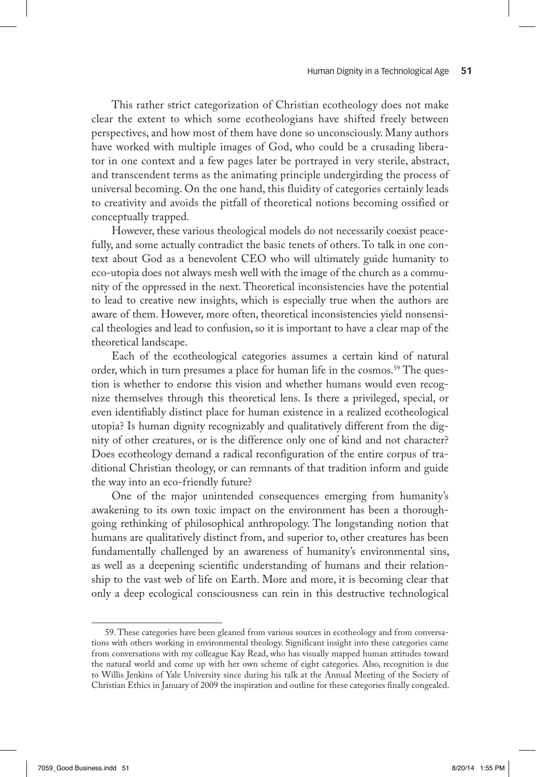This rather strict categorization of Christian ecotheology does not make clear the extent to which some ecotheologians have shifted freely between perspectives, and how most of them have done so unconsciously. Many authors have worked with multiple images of God, who could be a crusading liberator in one context and a few pages later be portrayed in very sterile, abstract, and transcendent terms as the animating principle undergirding the process of universal becoming. On the one hand, this fluidity of categories certainly leads to creativity and avoids the pitfall of theoretical notions becoming ossified or conceptually trapped.

However, these various theological models do not necessarily coexist peacefully, and some actually contradict the basic tenets of others. To talk in one context about God as a benevolent CEO who will ultimately guide humanity to eco-utopia does not always mesh well with the image of the church as a community of the oppressed in the next. Theoretical inconsistencies have the potential to lead to creative new insights, which is especially true when the authors are aware of them. However, more often, theoretical inconsistencies yield nonsensical theologies and lead to confusion, so it is important to have a clear map of the theoretical landscape.

Each of the ecotheological categories assumes a certain kind of natural order, which in turn presumes a place for human life in the cosmos.<sup>59</sup> The question is whether to endorse this vision and whether humans would even recognize themselves through this theoretical lens. Is there a privileged, special, or even identifiably distinct place for human existence in a realized ecotheological utopia? Is human dignity recognizably and qualitatively different from the dignity of other creatures, or is the difference only one of kind and not character? Does ecotheology demand a radical reconfiguration of the entire corpus of traditional Christian theology, or can remnants of that tradition inform and guide the way into an eco-friendly future?

One of the major unintended consequences emerging from humanity's awakening to its own toxic impact on the environment has been a thoroughgoing rethinking of philosophical anthropology. The longstanding notion that humans are qualitatively distinct from, and superior to, other creatures has been fundamentally challenged by an awareness of humanity's environmental sins, as well as a deepening scientific understanding of humans and their relationship to the vast web of life on Earth. More and more, it is becoming clear that only a deep ecological consciousness can rein in this destructive technological

<sup>59.</sup> These categories have been gleaned from various sources in ecotheology and from conversations with others working in environmental theology. Significant insight into these categories came from conversations with my colleague Kay Read, who has visually mapped human attitudes toward the natural world and come up with her own scheme of eight categories. Also, recognition is due to Willis Jenkins of Yale University since during his talk at the Annual Meeting of the Society of Christian Ethics in January of 2009 the inspiration and outline for these categories finally congealed.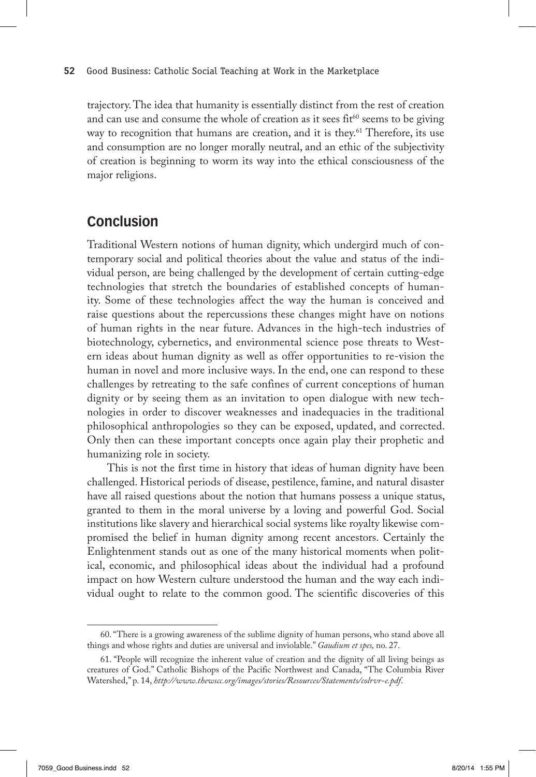trajectory. The idea that humanity is essentially distinct from the rest of creation and can use and consume the whole of creation as it sees  $fit^{60}$  seems to be giving way to recognition that humans are creation, and it is they.<sup>61</sup> Therefore, its use and consumption are no longer morally neutral, and an ethic of the subjectivity of creation is beginning to worm its way into the ethical consciousness of the major religions.

#### **Conclusion**

Traditional Western notions of human dignity, which undergird much of contemporary social and political theories about the value and status of the individual person, are being challenged by the development of certain cutting-edge technologies that stretch the boundaries of established concepts of humanity. Some of these technologies affect the way the human is conceived and raise questions about the repercussions these changes might have on notions of human rights in the near future. Advances in the high-tech industries of biotechnology, cybernetics, and environmental science pose threats to Western ideas about human dignity as well as offer opportunities to re-vision the human in novel and more inclusive ways. In the end, one can respond to these challenges by retreating to the safe confines of current conceptions of human dignity or by seeing them as an invitation to open dialogue with new technologies in order to discover weaknesses and inadequacies in the traditional philosophical anthropologies so they can be exposed, updated, and corrected. Only then can these important concepts once again play their prophetic and humanizing role in society.

This is not the first time in history that ideas of human dignity have been challenged. Historical periods of disease, pestilence, famine, and natural disaster have all raised questions about the notion that humans possess a unique status, granted to them in the moral universe by a loving and powerful God. Social institutions like slavery and hierarchical social systems like royalty likewise compromised the belief in human dignity among recent ancestors. Certainly the Enlightenment stands out as one of the many historical moments when political, economic, and philosophical ideas about the individual had a profound impact on how Western culture understood the human and the way each individual ought to relate to the common good. The scientific discoveries of this

<sup>60. &</sup>quot;There is a growing awareness of the sublime dignity of human persons, who stand above all things and whose rights and duties are universal and inviolable." *Gaudium et spes,* no. 27.

<sup>61. &</sup>quot;People will recognize the inherent value of creation and the dignity of all living beings as creatures of God." Catholic Bishops of the Pacific Northwest and Canada, "The Columbia River Watershed," p. 14, *http://www.thewscc.org/images/stories/Resources/Statements/colrvr-e.pdf*.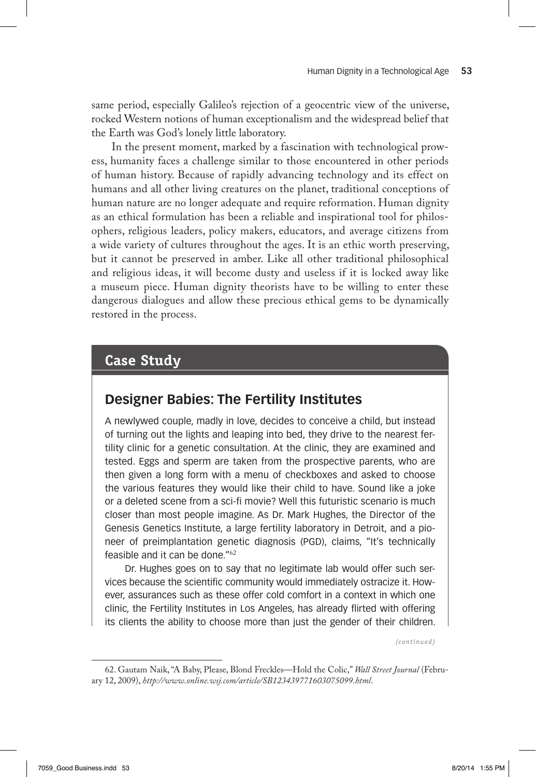same period, especially Galileo's rejection of a geocentric view of the universe, rocked Western notions of human exceptionalism and the widespread belief that the Earth was God's lonely little laboratory.

In the present moment, marked by a fascination with technological prowess, humanity faces a challenge similar to those encountered in other periods of human history. Because of rapidly advancing technology and its effect on humans and all other living creatures on the planet, traditional conceptions of human nature are no longer adequate and require reformation. Human dignity as an ethical formulation has been a reliable and inspirational tool for philosophers, religious leaders, policy makers, educators, and average citizens from a wide variety of cultures throughout the ages. It is an ethic worth preserving, but it cannot be preserved in amber. Like all other traditional philosophical and religious ideas, it will become dusty and useless if it is locked away like a museum piece. Human dignity theorists have to be willing to enter these dangerous dialogues and allow these precious ethical gems to be dynamically restored in the process.

#### **Case Study**

#### **Designer Babies: The Fertility Institutes**

A newlywed couple, madly in love, decides to conceive a child, but instead of turning out the lights and leaping into bed, they drive to the nearest fertility clinic for a genetic consultation. At the clinic, they are examined and tested. Eggs and sperm are taken from the prospective parents, who are then given a long form with a menu of checkboxes and asked to choose the various features they would like their child to have. Sound like a joke or a deleted scene from a sci-fi movie? Well this futuristic scenario is much closer than most people imagine. As Dr. Mark Hughes, the Director of the Genesis Genetics Institute, a large fertility laboratory in Detroit, and a pioneer of preimplantation genetic diagnosis (PGD), claims, "It's technically feasible and it can be done."<sup>62</sup>

Dr. Hughes goes on to say that no legitimate lab would offer such services because the scientific community would immediately ostracize it. However, assurances such as these offer cold comfort in a context in which one clinic, the Fertility Institutes in Los Angeles, has already flirted with offering its clients the ability to choose more than just the gender of their children.

*(continued)*

<sup>62.</sup> Gautam Naik, "A Baby, Please, Blond Freckles—Hold the Colic," *Wall Street Journal* (February 12, 2009), *http://www.online.wsj.com/article/SB123439771603075099.html*.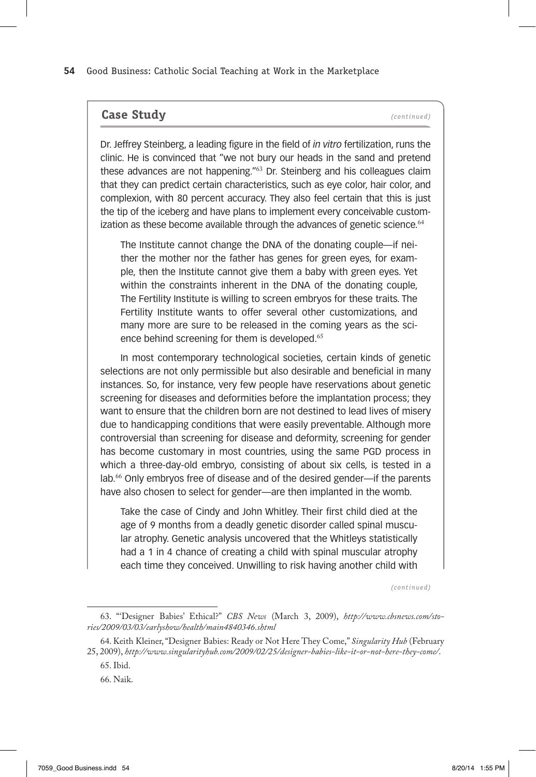#### **Case Study** *(continued)*

Dr. Jeffrey Steinberg, a leading figure in the field of *in vitro* fertilization, runs the clinic. He is convinced that "we not bury our heads in the sand and pretend these advances are not happening."<sup>63</sup> Dr. Steinberg and his colleagues claim that they can predict certain characteristics, such as eye color, hair color, and complexion, with 80 percent accuracy. They also feel certain that this is just the tip of the iceberg and have plans to implement every conceivable customization as these become available through the advances of genetic science.<sup>64</sup>

The Institute cannot change the DNA of the donating couple—if neither the mother nor the father has genes for green eyes, for example, then the Institute cannot give them a baby with green eyes. Yet within the constraints inherent in the DNA of the donating couple, The Fertility Institute is willing to screen embryos for these traits. The Fertility Institute wants to offer several other customizations, and many more are sure to be released in the coming years as the science behind screening for them is developed.<sup>65</sup>

In most contemporary technological societies, certain kinds of genetic selections are not only permissible but also desirable and beneficial in many instances. So, for instance, very few people have reservations about genetic screening for diseases and deformities before the implantation process; they want to ensure that the children born are not destined to lead lives of misery due to handicapping conditions that were easily preventable. Although more controversial than screening for disease and deformity, screening for gender has become customary in most countries, using the same PGD process in which a three-day-old embryo, consisting of about six cells, is tested in a lab.<sup>66</sup> Only embryos free of disease and of the desired gender—if the parents have also chosen to select for gender—are then implanted in the womb.

Take the case of Cindy and John Whitley. Their first child died at the age of 9 months from a deadly genetic disorder called spinal muscular atrophy. Genetic analysis uncovered that the Whitleys statistically had a 1 in 4 chance of creating a child with spinal muscular atrophy each time they conceived. Unwilling to risk having another child with

*(continued)*

<sup>63. &</sup>quot;'Designer Babies' Ethical?" *CBS News* (March 3, 2009), *http://www.cbsnews.com/stories/2009/03/03/earlyshow/health/main4840346.shtml*

<sup>64.</sup> Keith Kleiner, "Designer Babies: Ready or Not Here They Come," *Singularity Hub* (February 25, 2009), *http://www.singularityhub.com/2009/02/25/designer-babies-like-it-or-not-here-they-come/*.

<sup>65.</sup> Ibid.

<sup>66.</sup> Naik.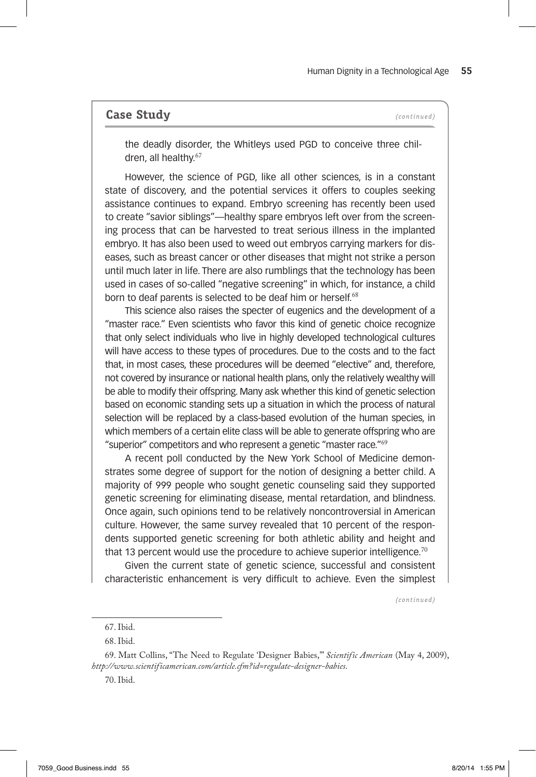#### **Case Study** *(continued)*

the deadly disorder, the Whitleys used PGD to conceive three children, all healthy.<sup>67</sup>

However, the science of PGD, like all other sciences, is in a constant state of discovery, and the potential services it offers to couples seeking assistance continues to expand. Embryo screening has recently been used to create "savior siblings"—healthy spare embryos left over from the screening process that can be harvested to treat serious illness in the implanted embryo. It has also been used to weed out embryos carrying markers for diseases, such as breast cancer or other diseases that might not strike a person until much later in life. There are also rumblings that the technology has been used in cases of so-called "negative screening" in which, for instance, a child born to deaf parents is selected to be deaf him or herself.<sup>68</sup>

This science also raises the specter of eugenics and the development of a "master race." Even scientists who favor this kind of genetic choice recognize that only select individuals who live in highly developed technological cultures will have access to these types of procedures. Due to the costs and to the fact that, in most cases, these procedures will be deemed "elective" and, therefore, not covered by insurance or national health plans, only the relatively wealthy will be able to modify their offspring. Many ask whether this kind of genetic selection based on economic standing sets up a situation in which the process of natural selection will be replaced by a class-based evolution of the human species, in which members of a certain elite class will be able to generate offspring who are "superior" competitors and who represent a genetic "master race."<sup>69</sup>

A recent poll conducted by the New York School of Medicine demonstrates some degree of support for the notion of designing a better child. A majority of 999 people who sought genetic counseling said they supported genetic screening for eliminating disease, mental retardation, and blindness. Once again, such opinions tend to be relatively noncontroversial in American culture. However, the same survey revealed that 10 percent of the respondents supported genetic screening for both athletic ability and height and that 13 percent would use the procedure to achieve superior intelligence.<sup>70</sup>

Given the current state of genetic science, successful and consistent characteristic enhancement is very difficult to achieve. Even the simplest

*(continued)*

70. Ibid.

<sup>67.</sup> Ibid.

<sup>68.</sup> Ibid.

<sup>69.</sup> Matt Collins, "The Need to Regulate 'Designer Babies,'" *Scientific American* (May 4, 2009), *http://www.scientificamerican.com/article.cfm?id=regulate-designer-babies*.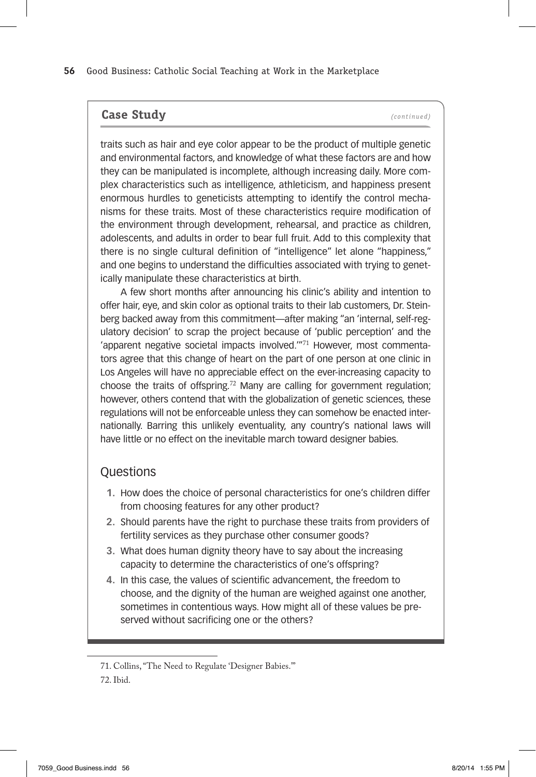#### **Case Study** *(continued)*

traits such as hair and eye color appear to be the product of multiple genetic and environmental factors, and knowledge of what these factors are and how they can be manipulated is incomplete, although increasing daily. More complex characteristics such as intelligence, athleticism, and happiness present enormous hurdles to geneticists attempting to identify the control mechanisms for these traits. Most of these characteristics require modification of the environment through development, rehearsal, and practice as children, adolescents, and adults in order to bear full fruit. Add to this complexity that there is no single cultural definition of "intelligence" let alone "happiness," and one begins to understand the difficulties associated with trying to genetically manipulate these characteristics at birth.

A few short months after announcing his clinic's ability and intention to offer hair, eye, and skin color as optional traits to their lab customers, Dr. Steinberg backed away from this commitment—after making "an 'internal, self-regulatory decision' to scrap the project because of 'public perception' and the 'apparent negative societal impacts involved.'"71 However, most commentators agree that this change of heart on the part of one person at one clinic in Los Angeles will have no appreciable effect on the ever-increasing capacity to choose the traits of offspring.<sup>72</sup> Many are calling for government regulation; however, others contend that with the globalization of genetic sciences, these regulations will not be enforceable unless they can somehow be enacted internationally. Barring this unlikely eventuality, any country's national laws will have little or no effect on the inevitable march toward designer babies.

#### **Ouestions**

- **1.** How does the choice of personal characteristics for one's children differ from choosing features for any other product?
- **2.** Should parents have the right to purchase these traits from providers of fertility services as they purchase other consumer goods?
- **3.** What does human dignity theory have to say about the increasing capacity to determine the characteristics of one's offspring?
- **4.** In this case, the values of scientific advancement, the freedom to choose, and the dignity of the human are weighed against one another, sometimes in contentious ways. How might all of these values be preserved without sacrificing one or the others?

72. Ibid.

<sup>71.</sup> Collins, "The Need to Regulate 'Designer Babies.'"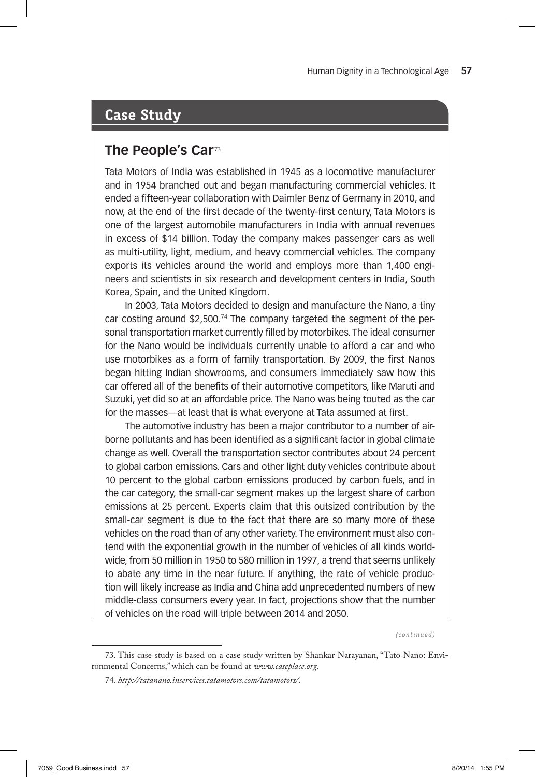### **Case Study**

#### **The People's Car**<sup>73</sup>

Tata Motors of India was established in 1945 as a locomotive manufacturer and in 1954 branched out and began manufacturing commercial vehicles. It ended a fifteen-year collaboration with Daimler Benz of Germany in 2010, and now, at the end of the first decade of the twenty-first century, Tata Motors is one of the largest automobile manufacturers in India with annual revenues in excess of \$14 billion. Today the company makes passenger cars as well as multi-utility, light, medium, and heavy commercial vehicles. The company exports its vehicles around the world and employs more than 1,400 engineers and scientists in six research and development centers in India, South Korea, Spain, and the United Kingdom.

In 2003, Tata Motors decided to design and manufacture the Nano, a tiny car costing around  $$2,500$ .<sup>74</sup> The company targeted the segment of the personal transportation market currently filled by motorbikes. The ideal consumer for the Nano would be individuals currently unable to afford a car and who use motorbikes as a form of family transportation. By 2009, the first Nanos began hitting Indian showrooms, and consumers immediately saw how this car offered all of the benefits of their automotive competitors, like Maruti and Suzuki, yet did so at an affordable price. The Nano was being touted as the car for the masses—at least that is what everyone at Tata assumed at first.

The automotive industry has been a major contributor to a number of airborne pollutants and has been identified as a significant factor in global climate change as well. Overall the transportation sector contributes about 24 percent to global carbon emissions. Cars and other light duty vehicles contribute about 10 percent to the global carbon emissions produced by carbon fuels, and in the car category, the small-car segment makes up the largest share of carbon emissions at 25 percent. Experts claim that this outsized contribution by the small-car segment is due to the fact that there are so many more of these vehicles on the road than of any other variety. The environment must also contend with the exponential growth in the number of vehicles of all kinds worldwide, from 50 million in 1950 to 580 million in 1997, a trend that seems unlikely to abate any time in the near future. If anything, the rate of vehicle production will likely increase as India and China add unprecedented numbers of new middle-class consumers every year. In fact, projections show that the number of vehicles on the road will triple between 2014 and 2050.

*(continued)*

<sup>73.</sup> This case study is based on a case study written by Shankar Narayanan, "Tato Nano: Environmental Concerns," which can be found at *www.caseplace.org*.

<sup>74.</sup> *http://tatanano.inservices.tatamotors.com/tatamotors/.*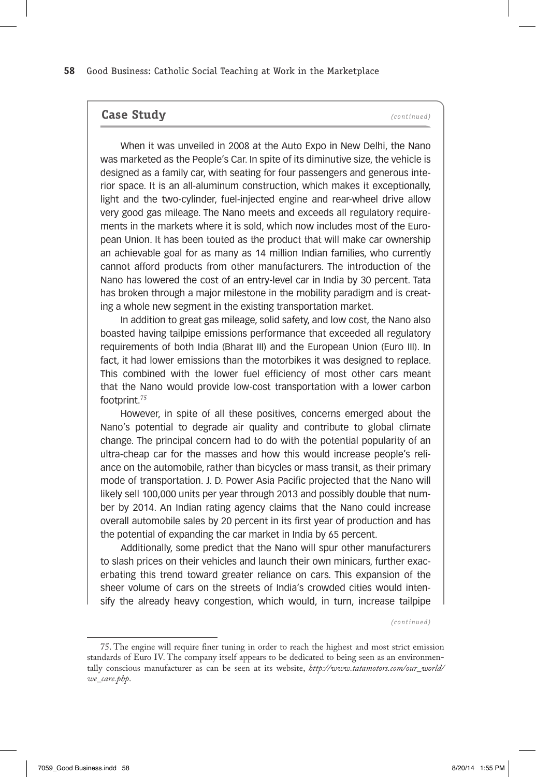#### **Case Study** *(continued)*

When it was unveiled in 2008 at the Auto Expo in New Delhi, the Nano was marketed as the People's Car. In spite of its diminutive size, the vehicle is designed as a family car, with seating for four passengers and generous interior space. It is an all-aluminum construction, which makes it exceptionally, light and the two-cylinder, fuel-injected engine and rear-wheel drive allow very good gas mileage. The Nano meets and exceeds all regulatory requirements in the markets where it is sold, which now includes most of the European Union. It has been touted as the product that will make car ownership an achievable goal for as many as 14 million Indian families, who currently cannot afford products from other manufacturers. The introduction of the Nano has lowered the cost of an entry-level car in India by 30 percent. Tata has broken through a major milestone in the mobility paradigm and is creating a whole new segment in the existing transportation market.

In addition to great gas mileage, solid safety, and low cost, the Nano also boasted having tailpipe emissions performance that exceeded all regulatory requirements of both India (Bharat III) and the European Union (Euro III). In fact, it had lower emissions than the motorbikes it was designed to replace. This combined with the lower fuel efficiency of most other cars meant that the Nano would provide low-cost transportation with a lower carbon footprint.<sup>75</sup>

However, in spite of all these positives, concerns emerged about the Nano's potential to degrade air quality and contribute to global climate change. The principal concern had to do with the potential popularity of an ultra-cheap car for the masses and how this would increase people's reliance on the automobile, rather than bicycles or mass transit, as their primary mode of transportation. J. D. Power Asia Pacific projected that the Nano will likely sell 100,000 units per year through 2013 and possibly double that number by 2014. An Indian rating agency claims that the Nano could increase overall automobile sales by 20 percent in its first year of production and has the potential of expanding the car market in India by 65 percent.

Additionally, some predict that the Nano will spur other manufacturers to slash prices on their vehicles and launch their own minicars, further exacerbating this trend toward greater reliance on cars. This expansion of the sheer volume of cars on the streets of India's crowded cities would intensify the already heavy congestion, which would, in turn, increase tailpipe

*(continued)*

<sup>75.</sup> The engine will require finer tuning in order to reach the highest and most strict emission standards of Euro IV. The company itself appears to be dedicated to being seen as an environmentally conscious manufacturer as can be seen at its website, *http://www.tatamotors.com/our\_world/ we\_care.php*.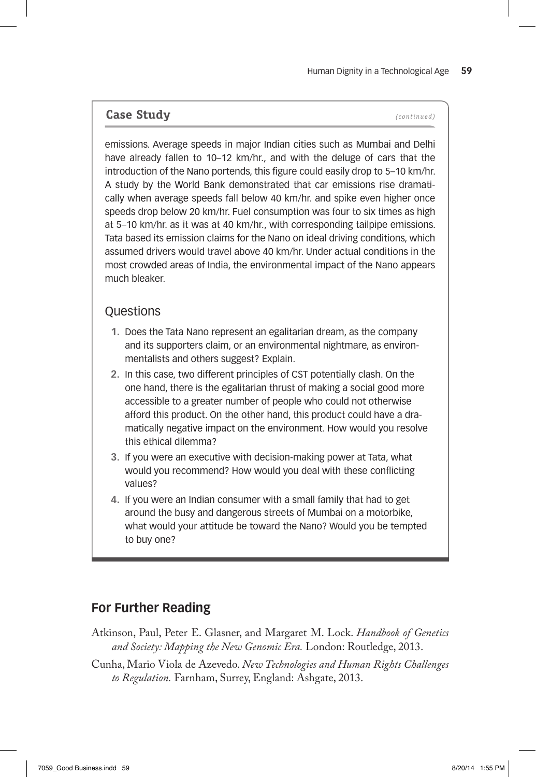#### **Case Study** *(continued)*

emissions. Average speeds in major Indian cities such as Mumbai and Delhi have already fallen to 10–12 km/hr., and with the deluge of cars that the introduction of the Nano portends, this figure could easily drop to 5–10 km/hr. A study by the World Bank demonstrated that car emissions rise dramatically when average speeds fall below 40 km/hr. and spike even higher once speeds drop below 20 km/hr. Fuel consumption was four to six times as high at 5–10 km/hr. as it was at 40 km/hr., with corresponding tailpipe emissions. Tata based its emission claims for the Nano on ideal driving conditions, which assumed drivers would travel above 40 km/hr. Under actual conditions in the most crowded areas of India, the environmental impact of the Nano appears much bleaker.

#### Questions

- **1.** Does the Tata Nano represent an egalitarian dream, as the company and its supporters claim, or an environmental nightmare, as environmentalists and others suggest? Explain.
- **2.** In this case, two different principles of CST potentially clash. On the one hand, there is the egalitarian thrust of making a social good more accessible to a greater number of people who could not otherwise afford this product. On the other hand, this product could have a dramatically negative impact on the environment. How would you resolve this ethical dilemma?
- **3.** If you were an executive with decision-making power at Tata, what would you recommend? How would you deal with these conflicting values?
- **4.** If you were an Indian consumer with a small family that had to get around the busy and dangerous streets of Mumbai on a motorbike, what would your attitude be toward the Nano? Would you be tempted to buy one?

#### **For Further Reading**

- Atkinson, Paul, Peter E. Glasner, and Margaret M. Lock. *Handbook of Genetics and Society: Mapping the New Genomic Era.* London: Routledge, 2013.
- Cunha, Mario Viola de Azevedo. *New Technologies and Human Rights Challenges to Regulation.* Farnham, Surrey, England: Ashgate, 2013.